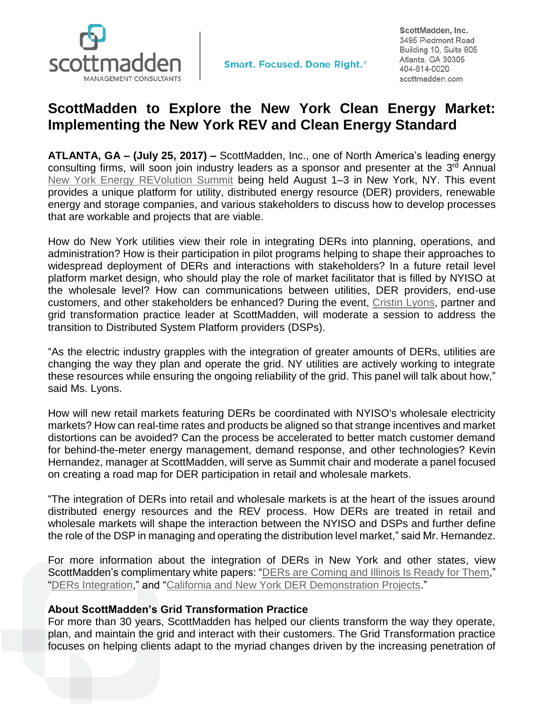

**Smart. Focused. Done Right.**<sup>®</sup>

ScottMadden, Inc. 3495 Piedmont Road Building 10, Suite 805 Atlanta, GA 30305 404-814-0020 scottmadden.com

## **ScottMadden to Explore the New York Clean Energy Market: Implementing the New York REV and Clean Energy Standard**

**ATLANTA, GA – (July 25, 2017) –** ScottMadden, Inc., one of North America's leading energy consulting firms, will soon join industry leaders as a sponsor and presenter at the 3<sup>rd</sup> Annual New York [Energy REVolution Summit](http://infocastinc.com/event/ny-energy-revolution-summit/) being held August 1–3 in New York, NY. This event provides a unique platform for utility, distributed energy resource (DER) providers, renewable energy and storage companies, and various stakeholders to discuss how to develop processes that are workable and projects that are viable.

How do New York utilities view their role in integrating DERs into planning, operations, and administration? How is their participation in pilot programs helping to shape their approaches to widespread deployment of DERs and interactions with stakeholders? In a future retail level platform market design, who should play the role of market facilitator that is filled by NYISO at the wholesale level? How can communications between utilities, DER providers, end-use customers, and other stakeholders be enhanced? During the event, [Cristin Lyons,](http://www.scottmadden.com/person/cristin-lyons/) partner and grid transformation practice leader at ScottMadden, will moderate a session to address the transition to Distributed System Platform providers (DSPs).

"As the electric industry grapples with the integration of greater amounts of DERs, utilities are changing the way they plan and operate the grid. NY utilities are actively working to integrate these resources while ensuring the ongoing reliability of the grid. This panel will talk about how," said Ms. Lyons.

How will new retail markets featuring DERs be coordinated with NYISO's wholesale electricity markets? How can real-time rates and products be aligned so that strange incentives and market distortions can be avoided? Can the process be accelerated to better match customer demand for behind-the-meter energy management, demand response, and other technologies? Kevin Hernandez, manager at ScottMadden, will serve as Summit chair and moderate a panel focused on creating a road map for DER participation in retail and wholesale markets.

"The integration of DERs into retail and wholesale markets is at the heart of the issues around distributed energy resources and the REV process. How DERs are treated in retail and wholesale markets will shape the interaction between the NYISO and DSPs and further define the role of the DSP in managing and operating the distribution level market," said Mr. Hernandez.

For more information about the integration of DERs in New York and other states, view ScottMadden's complimentary white papers: ["DERs are Coming and Illinois Is Ready for Them,](https://www.scottmadden.com/insight/51st-state-perspectives-ders-coming-illinois-ready/)" ["DERs Integration,](https://www.scottmadden.com/insight/distributed-energy-resources-integration-policy-technical-regulatory-perspectives-new-york-california/)" and ["California and New York DER Demonstration Projects.](https://www.scottmadden.com/insight/california-and-new-york-der-demonstration-projects/)"

## **About ScottMadden's Grid Transformation Practice**

For more than 30 years, ScottMadden has helped our clients transform the way they operate, plan, and maintain the grid and interact with their customers. The Grid Transformation practice focuses on helping clients adapt to the myriad changes driven by the increasing penetration of